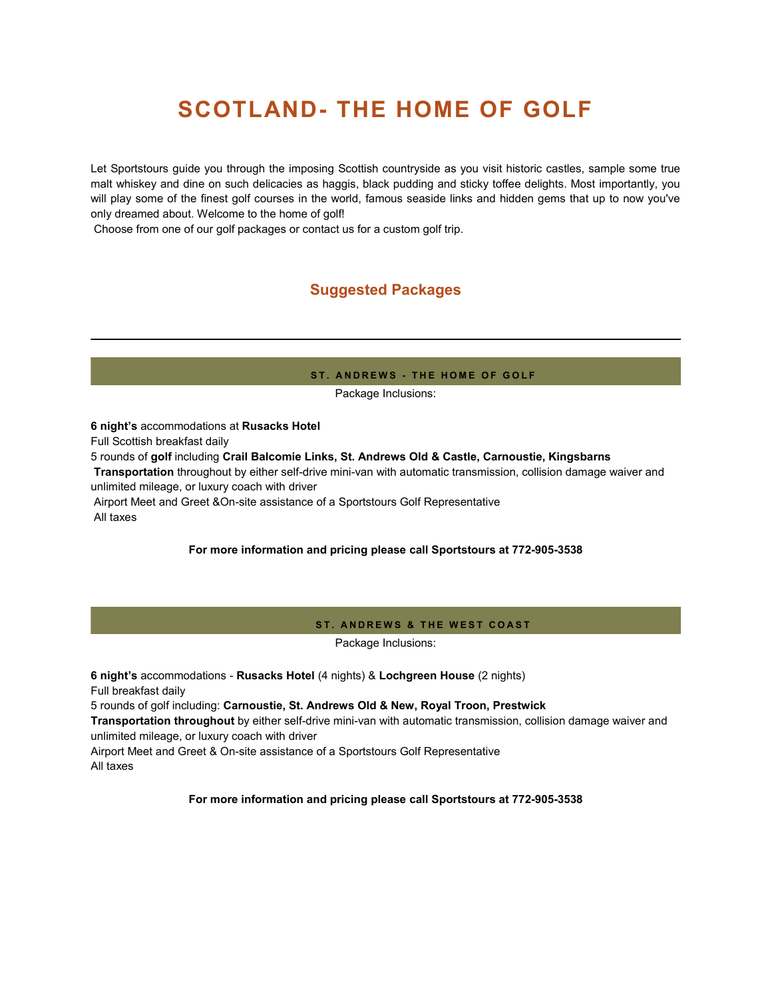# **SCOTLAND- THE HOME OF GOLF**

Let Sportstours guide you through the imposing Scottish countryside as you visit historic castles, sample some true malt whiskey and dine on such delicacies as haggis, black pudding and sticky toffee delights. Most importantly, you will play some of the finest golf courses in the world, famous seaside links and hidden gems that up to now you've only dreamed about. Welcome to the home of golf!

Choose from one of our golf packages or contact us for a custom golf trip.

# **Suggested Packages**

#### **ST. ANDREWS - THE HOME OF GOLF**

Package Inclusions:

• **6 night's** accommodations at **Rusacks Hotel** Full Scottish breakfast daily • 5 rounds of **golf** including **Crail Balcomie Links, St. Andrews Old & Castle, Carnoustie, Kingsbarns**  • **Transportation** throughout by either self-drive mini-van with automatic transmission, collision damage waiver and unlimited mileage, or luxury coach with driver • Airport Meet and Greet &On-site assistance of a Sportstours Golf Representative • All taxes

# **For more information and pricing please call Sportstours at 772-905-3538**

#### **ST. ANDREWS & THE WEST COAST**

Package Inclusions:

• **6 night's** accommodations - **Rusacks Hotel** (4 nights) & **Lochgreen House** (2 nights) • Full breakfast daily

• 5 rounds of golf including: **Carnoustie, St. Andrews Old & New, Royal Troon, Prestwick** 

• **Transportation throughout** by either self-drive mini-van with automatic transmission, collision damage waiver and unlimited mileage, or luxury coach with driver

• Airport Meet and Greet & On-site assistance of a Sportstours Golf Representative • All taxes

# **For more information and pricing please call Sportstours at 772-905-3538**